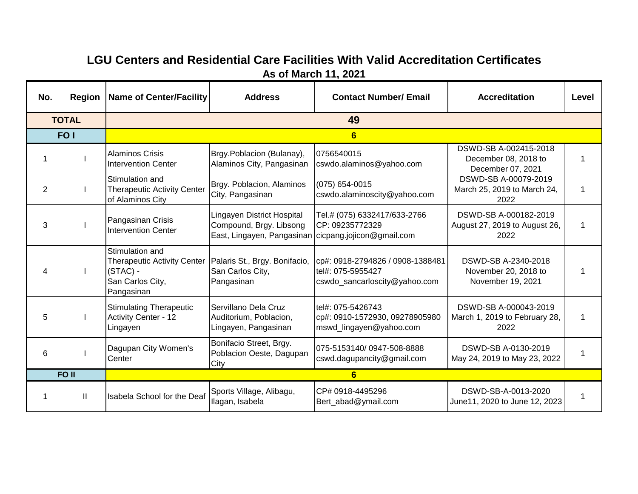## **LGU Centers and Residential Care Facilities With Valid Accreditation Certificates As of March 11, 2021**

| No.            | <b>Region</b>   | Name of Center/Facility                                                                               | <b>Address</b>                                                                                                | <b>Contact Number/ Email</b>                                                           | <b>Accreditation</b>                                               | Level |  |  |
|----------------|-----------------|-------------------------------------------------------------------------------------------------------|---------------------------------------------------------------------------------------------------------------|----------------------------------------------------------------------------------------|--------------------------------------------------------------------|-------|--|--|
|                | <b>TOTAL</b>    | 49                                                                                                    |                                                                                                               |                                                                                        |                                                                    |       |  |  |
|                | FO <sub>1</sub> | $6\phantom{1}6$                                                                                       |                                                                                                               |                                                                                        |                                                                    |       |  |  |
| 1              |                 | <b>Alaminos Crisis</b><br><b>Intervention Center</b>                                                  | Brgy.Poblacion (Bulanay),<br>Alaminos City, Pangasinan                                                        | 0756540015<br>cswdo.alaminos@yahoo.com                                                 | DSWD-SB A-002415-2018<br>December 08, 2018 to<br>December 07, 2021 | 1     |  |  |
| $\overline{2}$ |                 | Stimulation and<br><b>Therapeutic Activity Center</b><br>of Alaminos City                             | Brgy. Poblacion, Alaminos<br>City, Pangasinan                                                                 | $(075) 654 - 0015$<br>cswdo.alaminoscity@yahoo.com                                     | DSWD-SB A-00079-2019<br>March 25, 2019 to March 24,<br>2022        | 1     |  |  |
| 3              |                 | Pangasinan Crisis<br><b>Intervention Center</b>                                                       | Lingayen District Hospital<br>Compound, Brgy. Libsong<br>East, Lingayen, Pangasinan cicpang.jojicon@gmail.com | Tel.# (075) 6332417/633-2766<br>CP: 09235772329                                        | DSWD-SB A-000182-2019<br>August 27, 2019 to August 26,<br>2022     | 1     |  |  |
| 4              |                 | Stimulation and<br><b>Therapeutic Activity Center</b><br>$(STAC) -$<br>San Carlos City,<br>Pangasinan | Palaris St., Brgy. Bonifacio,<br>San Carlos City,<br>Pangasinan                                               | cp#: 0918-2794826 / 0908-1388481<br>tel#: 075-5955427<br>cswdo_sancarloscity@yahoo.com | DSWD-SB A-2340-2018<br>November 20, 2018 to<br>November 19, 2021   |       |  |  |
| 5              |                 | <b>Stimulating Therapeutic</b><br><b>Activity Center - 12</b><br>Lingayen                             | Servillano Dela Cruz<br>Auditorium, Poblacion,<br>Lingayen, Pangasinan                                        | tel#: 075-5426743<br>cp#: 0910-1572930, 09278905980<br>mswd_lingayen@yahoo.com         | DSWD-SB A-000043-2019<br>March 1, 2019 to February 28,<br>2022     | 1     |  |  |
| 6              |                 | Dagupan City Women's<br>Center                                                                        | Bonifacio Street, Brgy.<br>Poblacion Oeste, Dagupan<br>City                                                   | 075-5153140/0947-508-8888<br>cswd.dagupancity@gmail.com                                | DSWD-SB A-0130-2019<br>May 24, 2019 to May 23, 2022                | 1     |  |  |
|                | FO II           |                                                                                                       |                                                                                                               | 6                                                                                      |                                                                    |       |  |  |
| 1              | Ш               | Isabela School for the Deaf                                                                           | Sports Village, Alibagu,<br>Ilagan, Isabela                                                                   | CP# 0918-4495296<br>Bert_abad@ymail.com                                                | DSWD-SB-A-0013-2020<br>June11, 2020 to June 12, 2023               | 1     |  |  |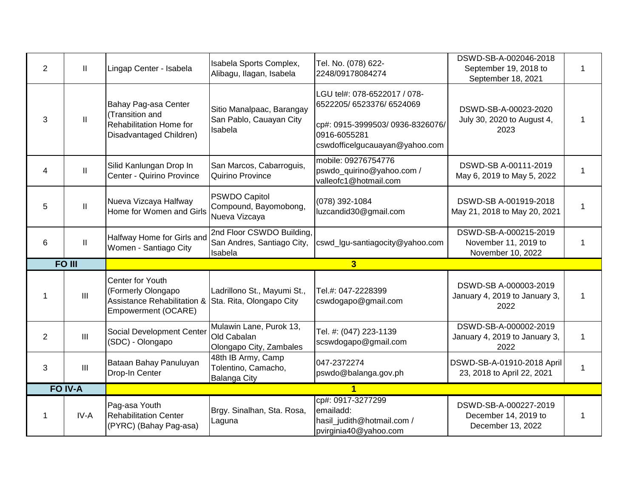| $\overline{2}$ | $\mathbf{H}$                       | Lingap Center - Isabela                                                                           | Isabela Sports Complex,<br>Alibagu, Ilagan, Isabela                | Tel. No. (078) 622-<br>2248/09178084274                                                                                                      | DSWD-SB-A-002046-2018<br>September 19, 2018 to<br>September 18, 2021 | 1 |
|----------------|------------------------------------|---------------------------------------------------------------------------------------------------|--------------------------------------------------------------------|----------------------------------------------------------------------------------------------------------------------------------------------|----------------------------------------------------------------------|---|
| 3              | $\ensuremath{\mathsf{II}}$         | Bahay Pag-asa Center<br>(Transition and<br>Rehabilitation Home for<br>Disadvantaged Children)     | Sitio Manalpaac, Barangay<br>San Pablo, Cauayan City<br>Isabela    | LGU tel#: 078-6522017 / 078-<br>6522205/6523376/6524069<br>cp#: 0915-3999503/0936-8326076/<br>0916-6055281<br>cswdofficelgucauayan@yahoo.com | DSWD-SB-A-00023-2020<br>July 30, 2020 to August 4,<br>2023           | 1 |
| 4              | $\mathbf{II}$                      | Silid Kanlungan Drop In<br>Center - Quirino Province                                              | San Marcos, Cabarroguis,<br>Quirino Province                       | mobile: 09276754776<br>pswdo_quirino@yahoo.com /<br>valleofc1@hotmail.com                                                                    | DSWD-SB A-00111-2019<br>May 6, 2019 to May 5, 2022                   | 1 |
| 5              | $\ensuremath{\mathsf{II}}$         | Nueva Vizcaya Halfway<br>Home for Women and Girls                                                 | PSWDO Capitol<br>Compound, Bayomobong,<br>Nueva Vizcaya            | (078) 392-1084<br>luzcandid30@gmail.com                                                                                                      | DSWD-SB A-001919-2018<br>May 21, 2018 to May 20, 2021                | 1 |
| 6              | $\mathbf{II}$                      | Halfway Home for Girls and<br>Women - Santiago City                                               | 2nd Floor CSWDO Building,<br>San Andres, Santiago City,<br>Isabela | cswd_lgu-santiagocity@yahoo.com                                                                                                              | DSWD-SB-A-000215-2019<br>November 11, 2019 to<br>November 10, 2022   | 1 |
|                | <b>FO III</b>                      |                                                                                                   |                                                                    | $\overline{3}$                                                                                                                               |                                                                      |   |
| 1              |                                    | <b>Center for Youth</b>                                                                           |                                                                    |                                                                                                                                              | DSWD-SB A-000003-2019                                                |   |
|                | III                                | (Formerly Olongapo<br>Assistance Rehabilitation & Sta. Rita, Olongapo City<br>Empowerment (OCARE) | Ladrillono St., Mayumi St.,                                        | Tel.#: 047-2228399<br>cswdogapo@gmail.com                                                                                                    | January 4, 2019 to January 3,<br>2022                                | 1 |
| $\overline{2}$ | $\ensuremath{\mathsf{III}}\xspace$ | Social Development Center<br>(SDC) - Olongapo                                                     | Mulawin Lane, Purok 13,<br>Old Cabalan<br>Olongapo City, Zambales  | Tel. #: (047) 223-1139<br>scswdogapo@gmail.com                                                                                               | DSWD-SB-A-000002-2019<br>January 4, 2019 to January 3,<br>2022       | 1 |
| 3              | III                                | Bataan Bahay Panuluyan<br>Drop-In Center                                                          | 48th IB Army, Camp<br>Tolentino, Camacho,<br>Balanga City          | 047-2372274<br>pswdo@balanga.gov.ph                                                                                                          | DSWD-SB-A-01910-2018 April<br>23, 2018 to April 22, 2021             | 1 |
|                | FO IV-A                            |                                                                                                   |                                                                    | 1<br>cp#: 0917-3277299                                                                                                                       |                                                                      |   |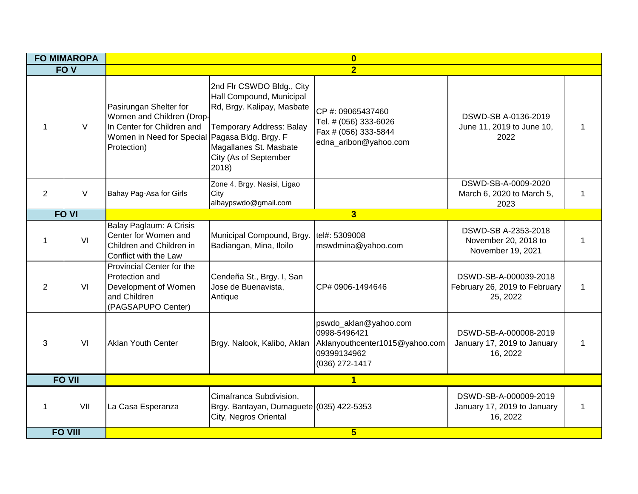| <b>FO MIMAROPA</b> |                 | $\overline{\mathbf{0}}$                                                                                                                            |                                                                                                                                                                                    |                                                                                                          |                                                                    |  |  |
|--------------------|-----------------|----------------------------------------------------------------------------------------------------------------------------------------------------|------------------------------------------------------------------------------------------------------------------------------------------------------------------------------------|----------------------------------------------------------------------------------------------------------|--------------------------------------------------------------------|--|--|
|                    | FO <sub>V</sub> |                                                                                                                                                    |                                                                                                                                                                                    | $\overline{2}$                                                                                           |                                                                    |  |  |
| -1                 | $\vee$          | Pasirungan Shelter for<br>Women and Children (Drop-<br>In Center for Children and<br>Women in Need for Special Pagasa Bldg. Brgy. F<br>Protection) | 2nd Flr CSWDO Bldg., City<br>Hall Compound, Municipal<br>Rd, Brgy. Kalipay, Masbate<br><b>Temporary Address: Balay</b><br>Magallanes St. Masbate<br>City (As of September<br>2018) | CP #: 09065437460<br>Tel. # (056) 333-6026<br>Fax # (056) 333-5844<br>edna_aribon@yahoo.com              | DSWD-SB A-0136-2019<br>June 11, 2019 to June 10,<br>2022           |  |  |
| 2                  | $\vee$          | Bahay Pag-Asa for Girls                                                                                                                            | Zone 4, Brgy. Nasisi, Ligao<br>City<br>albaypswdo@gmail.com                                                                                                                        |                                                                                                          | DSWD-SB-A-0009-2020<br>March 6, 2020 to March 5,<br>2023           |  |  |
|                    | <b>FO VI</b>    |                                                                                                                                                    |                                                                                                                                                                                    | 3                                                                                                        |                                                                    |  |  |
| -1                 | VI              | Balay Paglaum: A Crisis<br>Center for Women and<br>Children and Children in<br>Conflict with the Law                                               | Municipal Compound, Brgy.<br>Badiangan, Mina, Iloilo                                                                                                                               | tel#: 5309008<br>mswdmina@yahoo.com                                                                      | DSWD-SB A-2353-2018<br>November 20, 2018 to<br>November 19, 2021   |  |  |
| 2                  | VI              | Provincial Center for the<br>Protection and<br>Development of Women<br>and Children<br>(PAGSAPUPO Center)                                          | Cendeña St., Brgy. I, San<br>Jose de Buenavista,<br>Antique                                                                                                                        | CP# 0906-1494646                                                                                         | DSWD-SB-A-000039-2018<br>February 26, 2019 to February<br>25, 2022 |  |  |
| 3                  | VI              | Aklan Youth Center                                                                                                                                 | Brgy. Nalook, Kalibo, Aklan                                                                                                                                                        | pswdo_aklan@yahoo.com<br>0998-5496421<br>Aklanyouthcenter1015@yahoo.com<br>09399134962<br>(036) 272-1417 | DSWD-SB-A-000008-2019<br>January 17, 2019 to January<br>16, 2022   |  |  |
|                    | <b>FO VII</b>   |                                                                                                                                                    |                                                                                                                                                                                    | $\overline{1}$                                                                                           |                                                                    |  |  |
| $\mathbf 1$        | VII             | La Casa Esperanza                                                                                                                                  | Cimafranca Subdivision,<br>Brgy. Bantayan, Dumaguete (035) 422-5353<br>City, Negros Oriental                                                                                       |                                                                                                          | DSWD-SB-A-000009-2019<br>January 17, 2019 to January<br>16, 2022   |  |  |
|                    | <b>FO VIII</b>  |                                                                                                                                                    |                                                                                                                                                                                    | 5 <sup>5</sup>                                                                                           |                                                                    |  |  |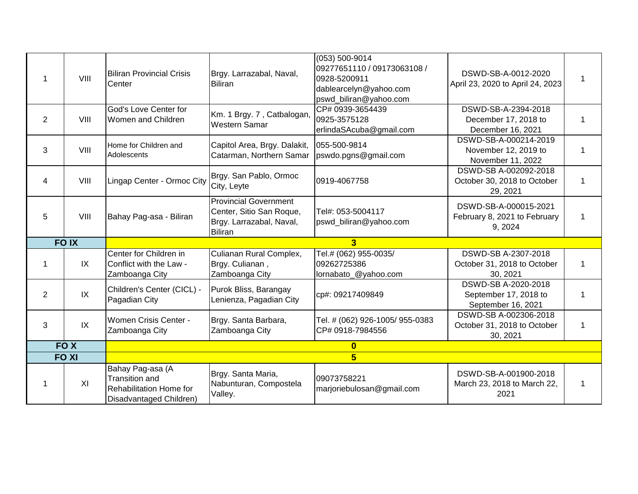|    | VIII            | <b>Biliran Provincial Crisis</b><br>Center                                                      | Brgy. Larrazabal, Naval,<br><b>Biliran</b>                                                             | (053) 500-9014<br>09277651110 / 09173063108 /<br>0928-5200911<br>dablearcelyn@yahoo.com<br>pswd_biliran@yahoo.com | DSWD-SB-A-0012-2020<br>April 23, 2020 to April 24, 2023            |  |
|----|-----------------|-------------------------------------------------------------------------------------------------|--------------------------------------------------------------------------------------------------------|-------------------------------------------------------------------------------------------------------------------|--------------------------------------------------------------------|--|
| 2  | VIII            | God's Love Center for<br>Women and Children                                                     | Km. 1 Brgy. 7, Catbalogan,<br><b>Western Samar</b>                                                     | CP# 0939-3654439<br>0925-3575128<br>erlindaSAcuba@gmail.com                                                       | DSWD-SB-A-2394-2018<br>December 17, 2018 to<br>December 16, 2021   |  |
| 3  | VIII            | Home for Children and<br>Adolescents                                                            | Capitol Area, Brgy. Dalakit,<br>Catarman, Northern Samar                                               | 055-500-9814<br>pswdo.pgns@gmail.com                                                                              | DSWD-SB-A-000214-2019<br>November 12, 2019 to<br>November 11, 2022 |  |
| 4  | VIII            | Lingap Center - Ormoc City                                                                      | Brgy. San Pablo, Ormoc<br>City, Leyte                                                                  | 0919-4067758                                                                                                      | DSWD-SB A-002092-2018<br>October 30, 2018 to October<br>29, 2021   |  |
| 5  | VIII            | Bahay Pag-asa - Biliran                                                                         | <b>Provincial Government</b><br>Center, Sitio San Roque,<br>Brgy. Larrazabal, Naval,<br><b>Biliran</b> | Tel#: 053-5004117<br>pswd_biliran@yahoo.com                                                                       | DSWD-SB-A-000015-2021<br>February 8, 2021 to February<br>9, 2024   |  |
|    | <b>FOIX</b>     |                                                                                                 |                                                                                                        | $\overline{3}$                                                                                                    |                                                                    |  |
| -1 | IX              | Center for Children in<br>Conflict with the Law -<br>Zamboanga City                             | Culianan Rural Complex,<br>Brgy. Culianan,<br>Zamboanga City                                           | Tel.# (062) 955-0035/<br>09262725386<br>lornabato_@yahoo.com                                                      | DSWD-SB A-2307-2018<br>October 31, 2018 to October<br>30, 2021     |  |
| 2  | IX              | Children's Center (CICL) -<br>Pagadian City                                                     | Purok Bliss, Barangay<br>Lenienza, Pagadian City                                                       | cp#: 09217409849                                                                                                  | DSWD-SB A-2020-2018<br>September 17, 2018 to<br>September 16, 2021 |  |
| 3  | IX              | Women Crisis Center -<br>Zamboanga City                                                         | Brgy. Santa Barbara,<br>Zamboanga City                                                                 | Tel. # (062) 926-1005/ 955-0383<br>CP# 0918-7984556                                                               | DSWD-SB A-002306-2018<br>October 31, 2018 to October<br>30, 2021   |  |
|    | FO <sub>X</sub> |                                                                                                 |                                                                                                        | $\bf{0}$                                                                                                          |                                                                    |  |
|    | <b>FO XI</b>    |                                                                                                 |                                                                                                        | $5\overline{)}$                                                                                                   |                                                                    |  |
|    | XI              | Bahay Pag-asa (A<br><b>Transition and</b><br>Rehabilitation Home for<br>Disadvantaged Children) | Brgy. Santa Maria,<br>Nabunturan, Compostela<br>Valley.                                                | 09073758221<br>marjoriebulosan@gmail.com                                                                          | DSWD-SB-A-001900-2018<br>March 23, 2018 to March 22,<br>2021       |  |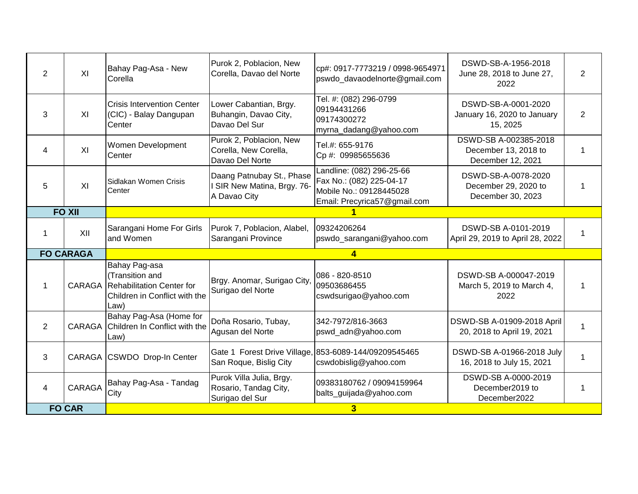| $\overline{2}$ | XI               | Bahay Pag-Asa - New<br>Corella                                                                         | Purok 2, Poblacion, New<br>Corella, Davao del Norte                      | cp#: 0917-7773219 / 0998-9654971<br>pswdo_davaodelnorte@gmail.com                                                | DSWD-SB-A-1956-2018<br>June 28, 2018 to June 27,<br>2022           | $\overline{2}$ |
|----------------|------------------|--------------------------------------------------------------------------------------------------------|--------------------------------------------------------------------------|------------------------------------------------------------------------------------------------------------------|--------------------------------------------------------------------|----------------|
| 3              | XI               | <b>Crisis Intervention Center</b><br>(CIC) - Balay Dangupan<br>Center                                  | Lower Cabantian, Brgy.<br>Buhangin, Davao City,<br>Davao Del Sur         | Tel. #: (082) 296-0799<br>09194431266<br>09174300272<br>myrna_dadang@yahoo.com                                   | DSWD-SB-A-0001-2020<br>January 16, 2020 to January<br>15, 2025     | $\overline{2}$ |
| 4              | XI               | Women Development<br>Center                                                                            | Purok 2, Poblacion, New<br>Corella, New Corella,<br>Davao Del Norte      | Tel.#: 655-9176<br>Cp #: 09985655636                                                                             | DSWD-SB A-002385-2018<br>December 13, 2018 to<br>December 12, 2021 | 1              |
| 5              | XI               | Sidlakan Women Crisis<br>Center                                                                        | Daang Patnubay St., Phase<br>I SIR New Matina, Brgy. 76-<br>A Davao City | Landline: (082) 296-25-66<br>Fax No.: (082) 225-04-17<br>Mobile No.: 09128445028<br>Email: Precyrica57@gmail.com | DSWD-SB-A-0078-2020<br>December 29, 2020 to<br>December 30, 2023   | 1              |
|                | <b>FO XII</b>    |                                                                                                        |                                                                          |                                                                                                                  |                                                                    |                |
| 1              | XII              | Sarangani Home For Girls<br>and Women                                                                  | Purok 7, Poblacion, Alabel,<br>Sarangani Province                        | 09324206264<br>pswdo_sarangani@yahoo.com                                                                         | DSWD-SB A-0101-2019<br>April 29, 2019 to April 28, 2022            |                |
|                | <b>FO CARAGA</b> |                                                                                                        |                                                                          | $\overline{\mathbf{4}}$                                                                                          |                                                                    |                |
| 1              | CARAGA           | Bahay Pag-asa<br>(Transition and<br>Rehabilitation Center for<br>Children in Conflict with the<br>Law) | Brgy. Anomar, Surigao City,<br>Surigao del Norte                         | 086 - 820-8510<br>09503686455<br>cswdsurigao@yahoo.com                                                           | DSWD-SB A-000047-2019<br>March 5, 2019 to March 4,<br>2022         |                |
| $\overline{2}$ |                  | Bahay Pag-Asa (Home for<br>CARAGA Children In Conflict with the<br>Law)                                | Doña Rosario, Tubay,<br>Agusan del Norte                                 | 342-7972/816-3663<br>pswd_adn@yahoo.com                                                                          | DSWD-SB A-01909-2018 April<br>20, 2018 to April 19, 2021           |                |
| 3              |                  | CARAGA CSWDO Drop-In Center                                                                            | San Roque, Bislig City                                                   | Gate 1 Forest Drive Village, 853-6089-144/09209545465<br>cswdobislig@yahoo.com                                   | DSWD-SB A-01966-2018 July<br>16, 2018 to July 15, 2021             |                |
| 4              | <b>CARAGA</b>    | Bahay Pag-Asa - Tandag<br>City                                                                         | Purok Villa Julia, Brgy.<br>Rosario, Tandag City,                        | 09383180762 / 09094159964<br>balts_guijada@yahoo.com                                                             | DSWD-SB A-0000-2019<br>December2019 to                             | 1              |
|                | <b>FO CAR</b>    |                                                                                                        | Surigao del Sur                                                          | $\overline{\mathbf{3}}$                                                                                          | December2022                                                       |                |